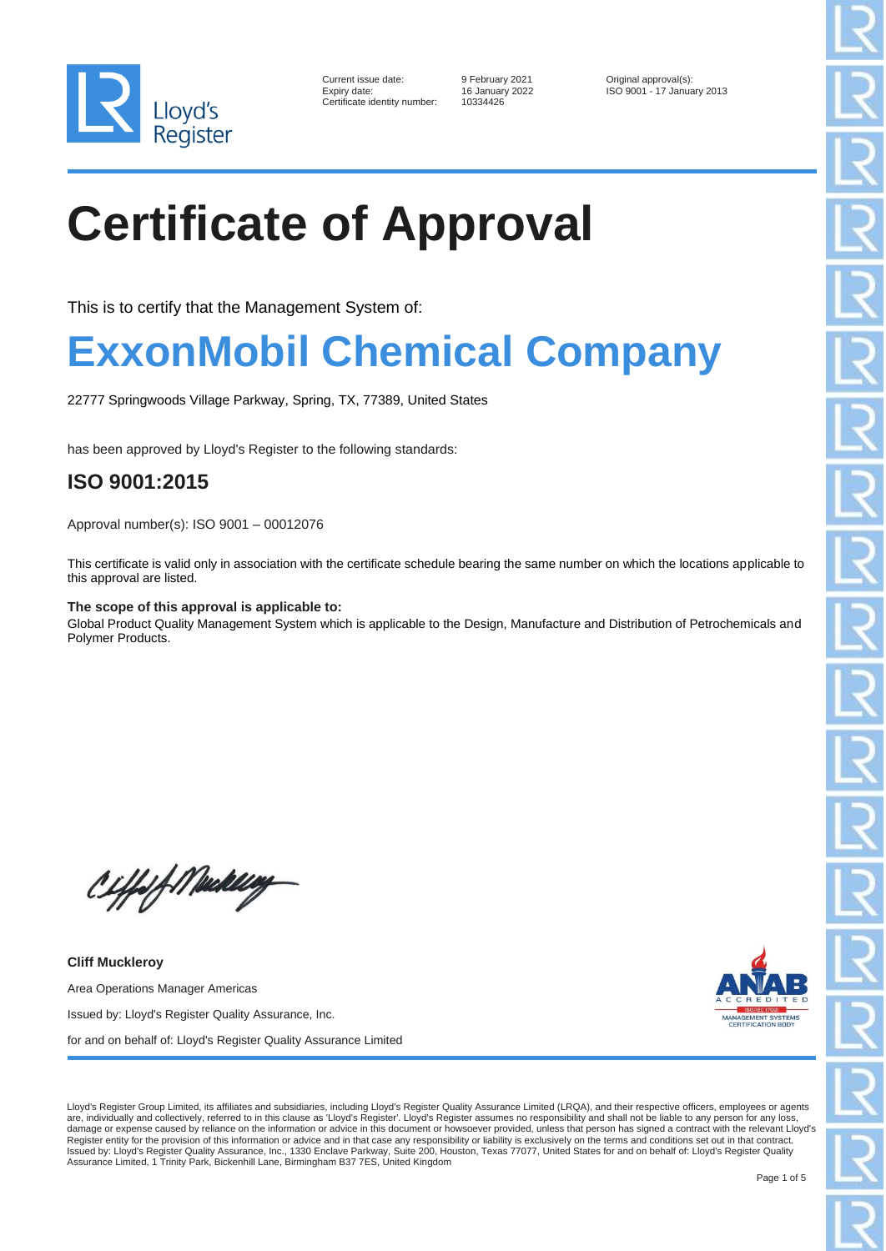

| Current issue date:        |
|----------------------------|
| Expiry date:               |
| Certificate identity numbe |

er: 10334426

9 February 2021 **Current Contains Original approval(s):** 16 January 2022 **Current Contains Contains Contains Contains Contains Contains Contains Contains Contains Contains Contains Contains Contains Contains Contains Conta** Expiry date: 16 January 2022 ISO 9001 - 17 January 2013

# **Certificate of Approval**

This is to certify that the Management System of:

#### **ExxonMobil Chemical Company**

22777 Springwoods Village Parkway, Spring, TX, 77389, United States

has been approved by Lloyd's Register to the following standards:

#### **ISO 9001:2015**

Approval number(s): ISO 9001 – 00012076

This certificate is valid only in association with the certificate schedule bearing the same number on which the locations applicable to this approval are listed.

#### **The scope of this approval is applicable to:**

Global Product Quality Management System which is applicable to the Design, Manufacture and Distribution of Petrochemicals and Polymer Products.



Area Operations Manager Americas Issued by: Lloyd's Register Quality Assurance, Inc.

Ciffof Mukling

**Cliff Muckleroy**

for and on behalf of: Lloyd's Register Quality Assurance Limited

Lloyd's Register Group Limited, its affiliates and subsidiaries, including Lloyd's Register Quality Assurance Limited (LRQA), and their respective officers, employees or agents<br>are, individually and collectively, referred damage or expense caused by reliance on the information or advice in this document or howsoever provided, unless that person has signed a contract with the relevant Lloyd's Register entity for the provision of this information or advice and in that case any responsibility or liability is exclusively on the terms and conditions set out in that contract.<br>Issued by: Lloyd's Register Quality Assu Assurance Limited, 1 Trinity Park, Bickenhill Lane, Birmingham B37 7ES, United Kingdom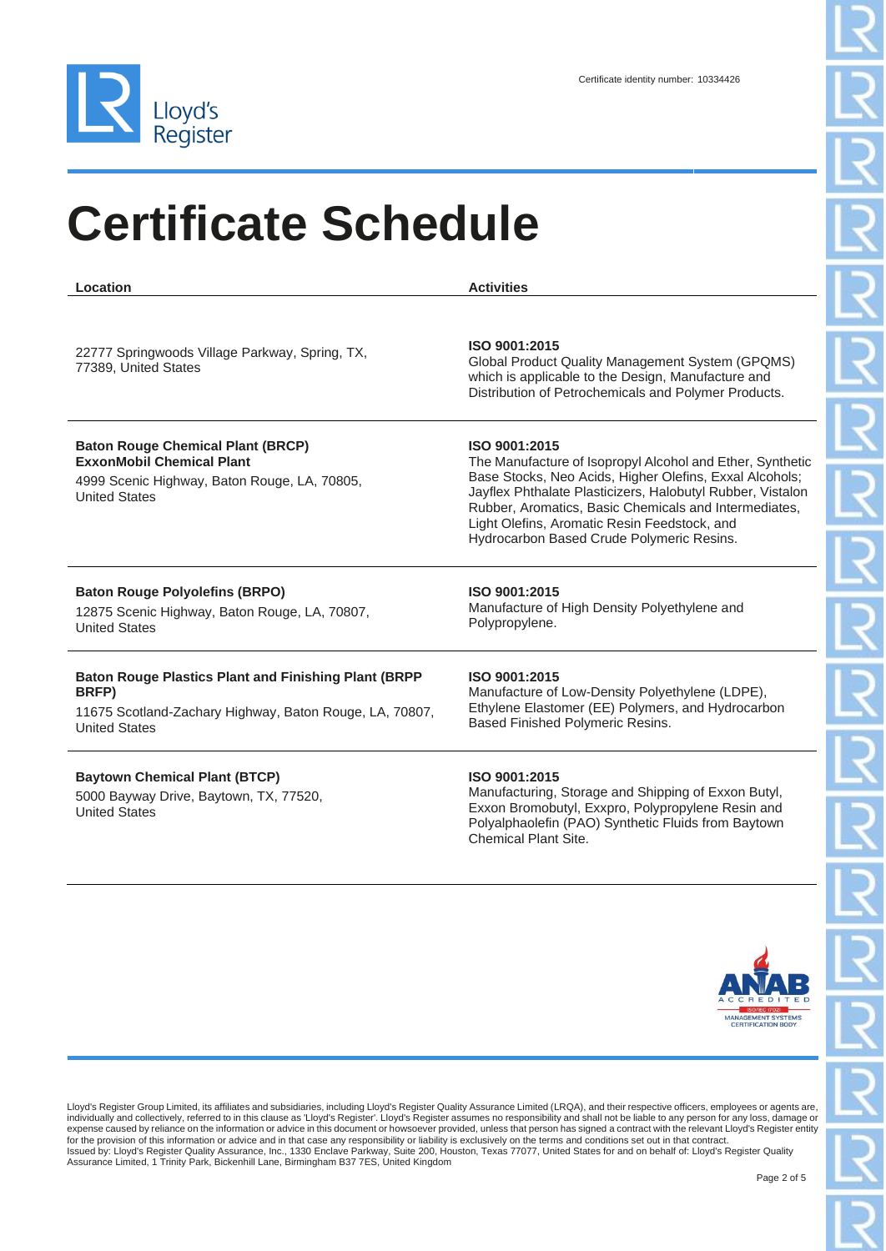

| Location                                                                                                                                                 | <b>Activities</b>                                                                                                                                                                                                                                                                                                                                         |
|----------------------------------------------------------------------------------------------------------------------------------------------------------|-----------------------------------------------------------------------------------------------------------------------------------------------------------------------------------------------------------------------------------------------------------------------------------------------------------------------------------------------------------|
| 22777 Springwoods Village Parkway, Spring, TX,<br>77389, United States                                                                                   | ISO 9001:2015<br>Global Product Quality Management System (GPQMS)<br>which is applicable to the Design, Manufacture and<br>Distribution of Petrochemicals and Polymer Products.                                                                                                                                                                           |
| <b>Baton Rouge Chemical Plant (BRCP)</b><br><b>ExxonMobil Chemical Plant</b><br>4999 Scenic Highway, Baton Rouge, LA, 70805,<br><b>United States</b>     | ISO 9001:2015<br>The Manufacture of Isopropyl Alcohol and Ether, Synthetic<br>Base Stocks, Neo Acids, Higher Olefins, Exxal Alcohols;<br>Jayflex Phthalate Plasticizers, Halobutyl Rubber, Vistalon<br>Rubber, Aromatics, Basic Chemicals and Intermediates,<br>Light Olefins, Aromatic Resin Feedstock, and<br>Hydrocarbon Based Crude Polymeric Resins. |
| <b>Baton Rouge Polyolefins (BRPO)</b><br>12875 Scenic Highway, Baton Rouge, LA, 70807,<br><b>United States</b>                                           | ISO 9001:2015<br>Manufacture of High Density Polyethylene and<br>Polypropylene.                                                                                                                                                                                                                                                                           |
| <b>Baton Rouge Plastics Plant and Finishing Plant (BRPP)</b><br>BRFP)<br>11675 Scotland-Zachary Highway, Baton Rouge, LA, 70807,<br><b>United States</b> | ISO 9001:2015<br>Manufacture of Low-Density Polyethylene (LDPE),<br>Ethylene Elastomer (EE) Polymers, and Hydrocarbon<br>Based Finished Polymeric Resins.                                                                                                                                                                                                 |
| <b>Baytown Chemical Plant (BTCP)</b>                                                                                                                     | ISO 9001:2015                                                                                                                                                                                                                                                                                                                                             |

5000 Bayway Drive, Baytown, TX, 77520, United States

Manufacturing, Storage and Shipping of Exxon Butyl, Exxon Bromobutyl, Exxpro, Polypropylene Resin and Polyalphaolefin (PAO) Synthetic Fluids from Baytown Chemical Plant Site.



Lloyd's Register Group Limited, its affiliates and subsidiaries, including Lloyd's Register Quality Assurance Limited (LRQA), and their respective officers, employees or agents are,<br>individually and collectively, referred expense caused by reliance on the information or advice in this document or howsoever provided, unless that person has signed a contract with the relevant Lloyd's Register entity<br>for the provision of this information or ad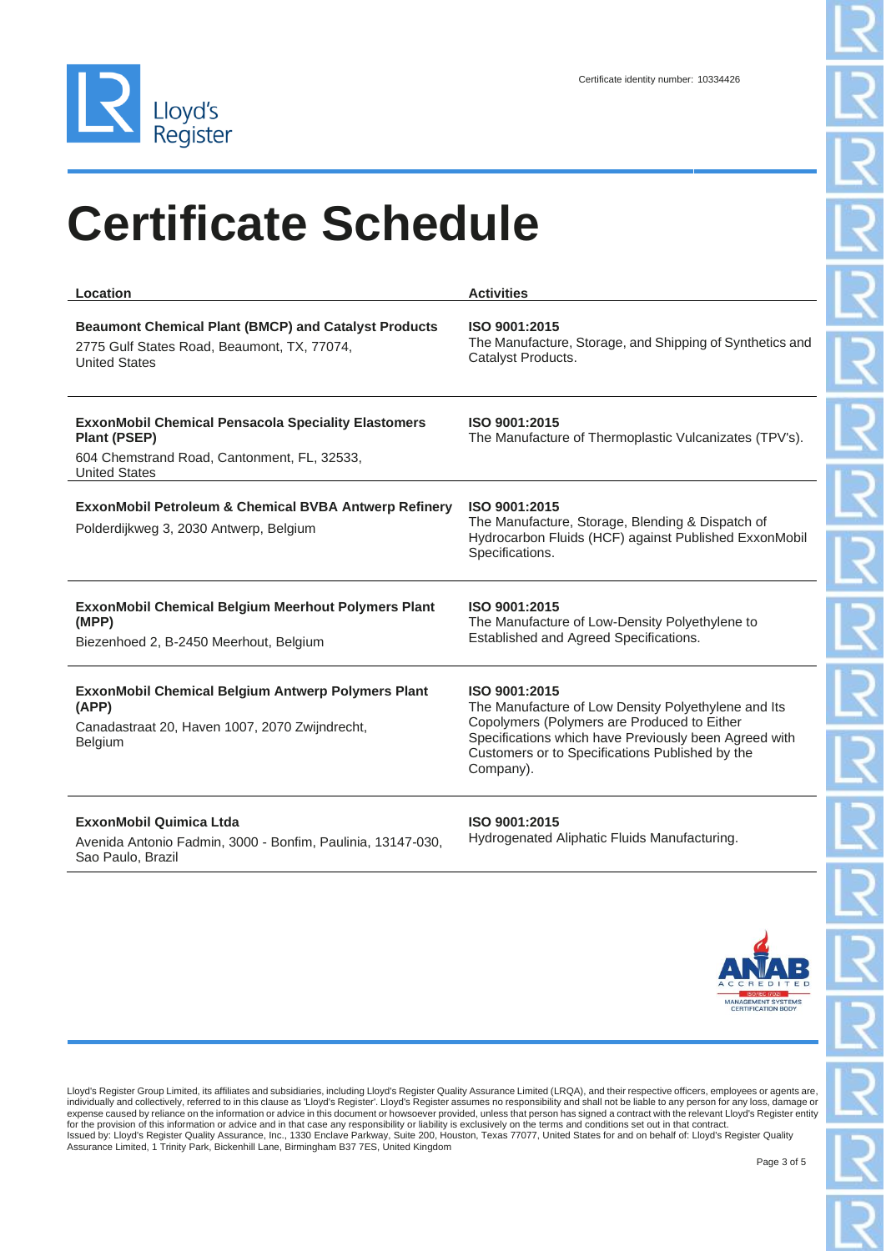

| Location                                                                                                                                                 | <b>Activities</b>                                                                                                                                                                                                                            |
|----------------------------------------------------------------------------------------------------------------------------------------------------------|----------------------------------------------------------------------------------------------------------------------------------------------------------------------------------------------------------------------------------------------|
| <b>Beaumont Chemical Plant (BMCP) and Catalyst Products</b><br>2775 Gulf States Road, Beaumont, TX, 77074,<br><b>United States</b>                       | ISO 9001:2015<br>The Manufacture, Storage, and Shipping of Synthetics and<br>Catalyst Products.                                                                                                                                              |
| <b>ExxonMobil Chemical Pensacola Speciality Elastomers</b><br><b>Plant (PSEP)</b><br>604 Chemstrand Road, Cantonment, FL, 32533,<br><b>United States</b> | ISO 9001:2015<br>The Manufacture of Thermoplastic Vulcanizates (TPV's).                                                                                                                                                                      |
| ExxonMobil Petroleum & Chemical BVBA Antwerp Refinery<br>Polderdijkweg 3, 2030 Antwerp, Belgium                                                          | ISO 9001:2015<br>The Manufacture, Storage, Blending & Dispatch of<br>Hydrocarbon Fluids (HCF) against Published ExxonMobil<br>Specifications.                                                                                                |
| <b>ExxonMobil Chemical Belgium Meerhout Polymers Plant</b><br>(MPP)<br>Biezenhoed 2, B-2450 Meerhout, Belgium                                            | ISO 9001:2015<br>The Manufacture of Low-Density Polyethylene to<br>Established and Agreed Specifications.                                                                                                                                    |
| <b>ExxonMobil Chemical Belgium Antwerp Polymers Plant</b><br>(APP)<br>Canadastraat 20, Haven 1007, 2070 Zwijndrecht,<br><b>Belgium</b>                   | ISO 9001:2015<br>The Manufacture of Low Density Polyethylene and Its<br>Copolymers (Polymers are Produced to Either<br>Specifications which have Previously been Agreed with<br>Customers or to Specifications Published by the<br>Company). |
| ExxonMobil Quimica Ltda<br>Avenida Antonio Fadmin, 3000 - Bonfim, Paulinia, 13147-030,<br>Sao Paulo, Brazil                                              | ISO 9001:2015<br>Hydrogenated Aliphatic Fluids Manufacturing.                                                                                                                                                                                |



Lloyd's Register Group Limited, its affiliates and subsidiaries, including Lloyd's Register Quality Assurance Limited (LRQA), and their respective officers, employees or agents are,<br>individually and collectively, referred for the provision of this information or advice and in that case any responsibility or liability is exclusively on the terms and conditions set out in that contract.<br>Issued by: Lloyd's Register Quality Assurance, Inc., 133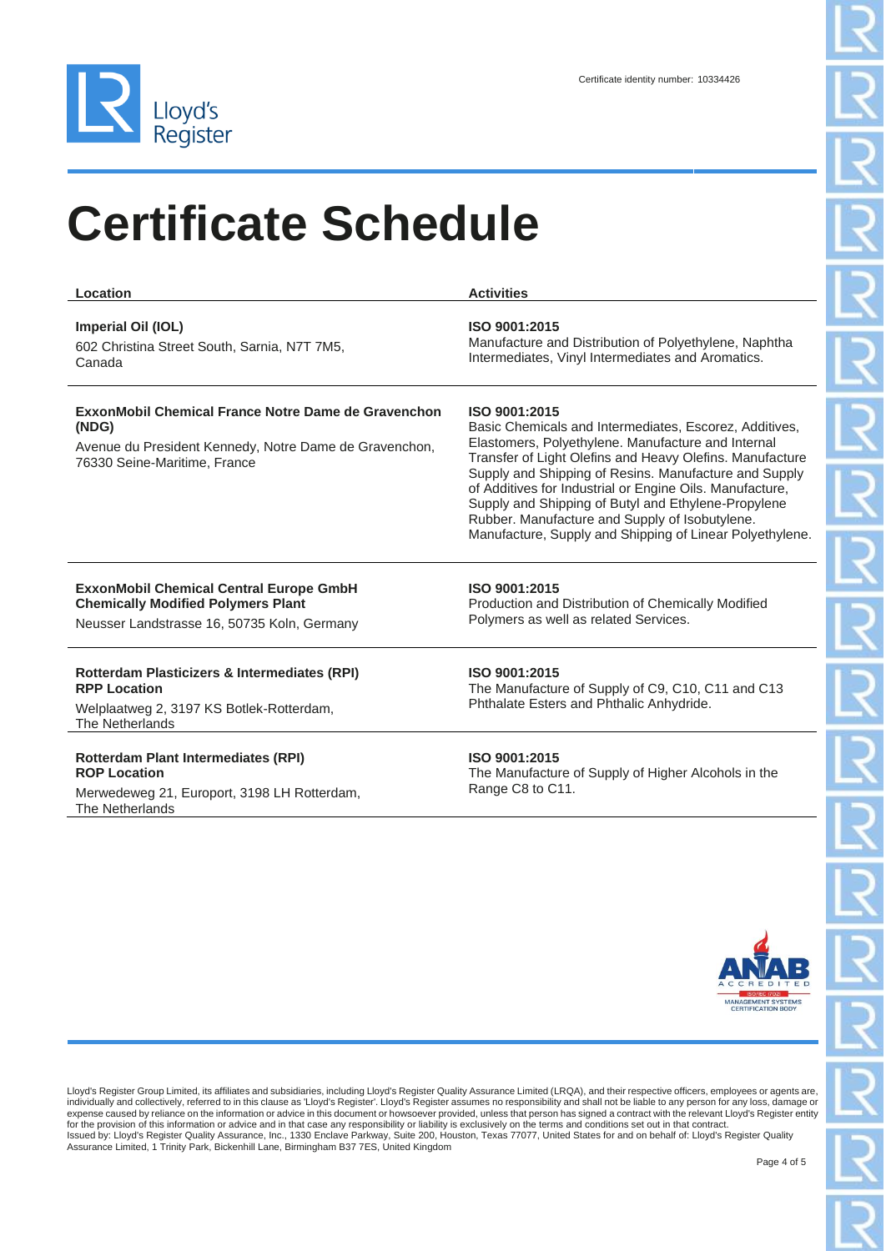

| Location                                                                                                                                               | <b>Activities</b>                                                                                                                                                                                                                                                                                                                                                                                                                                                                   |
|--------------------------------------------------------------------------------------------------------------------------------------------------------|-------------------------------------------------------------------------------------------------------------------------------------------------------------------------------------------------------------------------------------------------------------------------------------------------------------------------------------------------------------------------------------------------------------------------------------------------------------------------------------|
| Imperial Oil (IOL)<br>602 Christina Street South, Sarnia, N7T 7M5,<br>Canada                                                                           | ISO 9001:2015<br>Manufacture and Distribution of Polyethylene, Naphtha<br>Intermediates, Vinyl Intermediates and Aromatics.                                                                                                                                                                                                                                                                                                                                                         |
| ExxonMobil Chemical France Notre Dame de Gravenchon<br>(NDG)<br>Avenue du President Kennedy, Notre Dame de Gravenchon,<br>76330 Seine-Maritime, France | ISO 9001:2015<br>Basic Chemicals and Intermediates, Escorez, Additives,<br>Elastomers, Polyethylene. Manufacture and Internal<br>Transfer of Light Olefins and Heavy Olefins. Manufacture<br>Supply and Shipping of Resins. Manufacture and Supply<br>of Additives for Industrial or Engine Oils. Manufacture,<br>Supply and Shipping of Butyl and Ethylene-Propylene<br>Rubber. Manufacture and Supply of Isobutylene.<br>Manufacture, Supply and Shipping of Linear Polyethylene. |
| <b>ExxonMobil Chemical Central Europe GmbH</b><br><b>Chemically Modified Polymers Plant</b><br>Neusser Landstrasse 16, 50735 Koln, Germany             | ISO 9001:2015<br>Production and Distribution of Chemically Modified<br>Polymers as well as related Services.                                                                                                                                                                                                                                                                                                                                                                        |
| Rotterdam Plasticizers & Intermediates (RPI)<br><b>RPP Location</b><br>Welplaatweg 2, 3197 KS Botlek-Rotterdam,<br>The Netherlands                     | ISO 9001:2015<br>The Manufacture of Supply of C9, C10, C11 and C13<br>Phthalate Esters and Phthalic Anhydride.                                                                                                                                                                                                                                                                                                                                                                      |
| <b>Rotterdam Plant Intermediates (RPI)</b><br><b>ROP Location</b><br>Merwedeweg 21, Europort, 3198 LH Rotterdam,<br>The Netherlands                    | ISO 9001:2015<br>The Manufacture of Supply of Higher Alcohols in the<br>Range C8 to C11.                                                                                                                                                                                                                                                                                                                                                                                            |
|                                                                                                                                                        | <b>MANAGEMENT SYSTEMS</b><br><b>CERTIFICATION BODY</b>                                                                                                                                                                                                                                                                                                                                                                                                                              |

Lloyd's Register Group Limited, its affiliates and subsidiaries, including Lloyd's Register Quality Assurance Limited (LRQA), and their respective officers, employees or agents are,<br>individually and collectively, referred for the provision of this information or advice and in that case any responsibility or liability is exclusively on the terms and conditions set out in that contract.<br>Issued by: Lloyd's Register Quality Assurance, Inc., 133